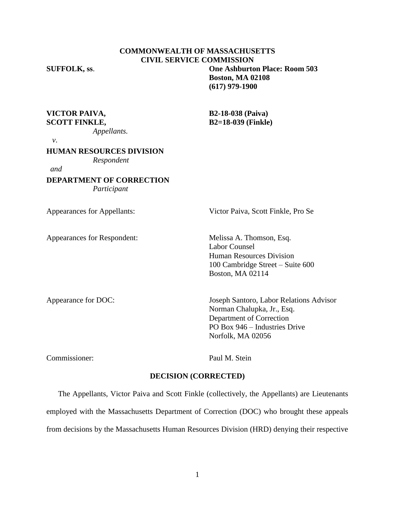### **COMMONWEALTH OF MASSACHUSETTS CIVIL SERVICE COMMISSION SUFFOLK, ss**. **One Ashburton Place: Room 503**

**Boston, MA 02108 (617) 979-1900**

**VICTOR PAIVA, B2-18-038 (Paiva)**

*Appellants.* 

**SCOTT FINKLE, B2=18-039 (Finkle)**

 *v*.

**HUMAN RESOURCES DIVISION**

*Respondent*

*and* 

**DEPARTMENT OF CORRECTION** *Participant*

Appearances for Respondent: Melissa A. Thomson, Esq.

Appearances for Appellants: Victor Paiva, Scott Finkle, Pro Se

Labor Counsel Human Resources Division 100 Cambridge Street – Suite 600 Boston, MA 02114

Appearance for DOC: Joseph Santoro, Labor Relations Advisor Norman Chalupka, Jr., Esq. Department of Correction PO Box 946 – Industries Drive Norfolk, MA 02056

Commissioner: Paul M. Stein

## **DECISION (CORRECTED)**

The Appellants, Victor Paiva and Scott Finkle (collectively, the Appellants) are Lieutenants employed with the Massachusetts Department of Correction (DOC) who brought these appeals from decisions by the Massachusetts Human Resources Division (HRD) denying their respective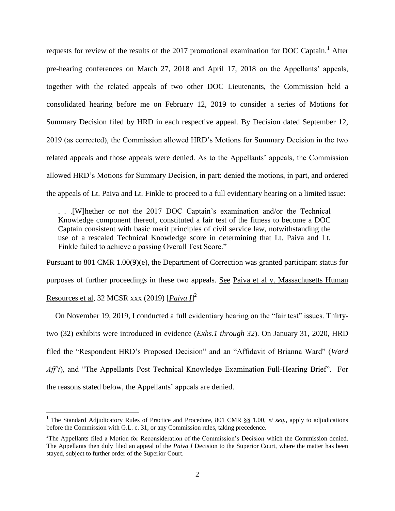requests for review of the results of the 2017 promotional examination for DOC Captain.<sup>1</sup> After pre-hearing conferences on March 27, 2018 and April 17, 2018 on the Appellants' appeals, together with the related appeals of two other DOC Lieutenants, the Commission held a consolidated hearing before me on February 12, 2019 to consider a series of Motions for Summary Decision filed by HRD in each respective appeal. By Decision dated September 12, 2019 (as corrected), the Commission allowed HRD's Motions for Summary Decision in the two related appeals and those appeals were denied. As to the Appellants' appeals, the Commission allowed HRD's Motions for Summary Decision, in part; denied the motions, in part, and ordered the appeals of Lt. Paiva and Lt. Finkle to proceed to a full evidentiary hearing on a limited issue:

. . .[W]hether or not the 2017 DOC Captain's examination and/or the Technical Knowledge component thereof, constituted a fair test of the fitness to become a DOC Captain consistent with basic merit principles of civil service law, notwithstanding the use of a rescaled Technical Knowledge score in determining that Lt. Paiva and Lt. Finkle failed to achieve a passing Overall Test Score."

Pursuant to 801 CMR 1.00(9)(e), the Department of Correction was granted participant status for purposes of further proceedings in these two appeals. See Paiva et al v. Massachusetts Human Resources et al, 32 MCSR xxx (2019) [*Paiva I*] 2

On November 19, 2019, I conducted a full evidentiary hearing on the "fair test" issues. Thirtytwo (32) exhibits were introduced in evidence (*Exhs.1 through 32*). On January 31, 2020, HRD filed the "Respondent HRD's Proposed Decision" and an "Affidavit of Brianna Ward" (*Ward Aff't*), and "The Appellants Post Technical Knowledge Examination Full-Hearing Brief". For the reasons stated below, the Appellants' appeals are denied.

 $\overline{a}$ 

<sup>&</sup>lt;sup>1</sup> The Standard Adjudicatory Rules of Practice and Procedure, 801 CMR §§ 1.00, *et seq.*, apply to adjudications before the Commission with G.L. c. 31, or any Commission rules, taking precedence.

<sup>&</sup>lt;sup>2</sup>The Appellants filed a Motion for Reconsideration of the Commission's Decision which the Commission denied. The Appellants then duly filed an appeal of the *Paiva I* Decision to the Superior Court, where the matter has been stayed, subject to further order of the Superior Court.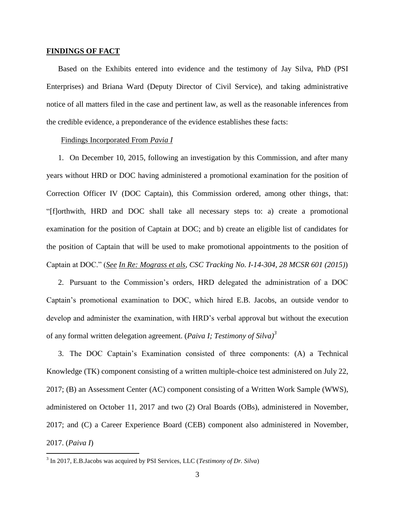### **FINDINGS OF FACT**

Based on the Exhibits entered into evidence and the testimony of Jay Silva, PhD (PSI Enterprises) and Briana Ward (Deputy Director of Civil Service), and taking administrative notice of all matters filed in the case and pertinent law, as well as the reasonable inferences from the credible evidence, a preponderance of the evidence establishes these facts:

#### Findings Incorporated From *Pavia I*

1. On December 10, 2015, following an investigation by this Commission, and after many years without HRD or DOC having administered a promotional examination for the position of Correction Officer IV (DOC Captain), this Commission ordered, among other things, that: "[f]orthwith, HRD and DOC shall take all necessary steps to: a) create a promotional examination for the position of Captain at DOC; and b) create an eligible list of candidates for the position of Captain that will be used to make promotional appointments to the position of Captain at DOC." (*See In Re: Mograss et als, CSC Tracking No. I-14-304, 28 MCSR 601 (2015)*)

2. Pursuant to the Commission's orders, HRD delegated the administration of a DOC Captain's promotional examination to DOC, which hired E.B. Jacobs, an outside vendor to develop and administer the examination, with HRD's verbal approval but without the execution of any formal written delegation agreement. (*Paiva I; Testimony of Silva)<sup>3</sup>*

3. The DOC Captain's Examination consisted of three components: (A) a Technical Knowledge (TK) component consisting of a written multiple-choice test administered on July 22, 2017; (B) an Assessment Center (AC) component consisting of a Written Work Sample (WWS), administered on October 11, 2017 and two (2) Oral Boards (OBs), administered in November, 2017; and (C) a Career Experience Board (CEB) component also administered in November, 2017. (*Paiva I*)

 3 In 2017, E.B.Jacobs was acquired by PSI Services, LLC (*Testimony of Dr. Silva*)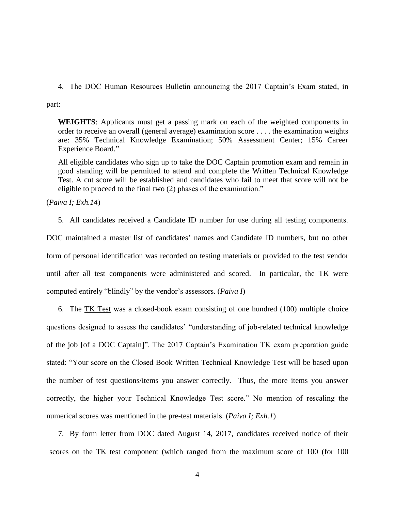4. The DOC Human Resources Bulletin announcing the 2017 Captain's Exam stated, in

part:

**WEIGHTS**: Applicants must get a passing mark on each of the weighted components in order to receive an overall (general average) examination score . . . . the examination weights are: 35% Technical Knowledge Examination; 50% Assessment Center; 15% Career Experience Board."

All eligible candidates who sign up to take the DOC Captain promotion exam and remain in good standing will be permitted to attend and complete the Written Technical Knowledge Test. A cut score will be established and candidates who fail to meet that score will not be eligible to proceed to the final two (2) phases of the examination."

(*Paiva I; Exh.14*)

5. All candidates received a Candidate ID number for use during all testing components.

DOC maintained a master list of candidates' names and Candidate ID numbers, but no other form of personal identification was recorded on testing materials or provided to the test vendor until after all test components were administered and scored. In particular, the TK were computed entirely "blindly" by the vendor's assessors. (*Paiva I*)

6. The TK Test was a closed-book exam consisting of one hundred (100) multiple choice questions designed to assess the candidates' "understanding of job-related technical knowledge of the job [of a DOC Captain]". The 2017 Captain's Examination TK exam preparation guide stated: "Your score on the Closed Book Written Technical Knowledge Test will be based upon the number of test questions/items you answer correctly. Thus, the more items you answer correctly, the higher your Technical Knowledge Test score." No mention of rescaling the numerical scores was mentioned in the pre-test materials. (*Paiva I; Exh.1*)

7. By form letter from DOC dated August 14, 2017, candidates received notice of their scores on the TK test component (which ranged from the maximum score of 100 (for 100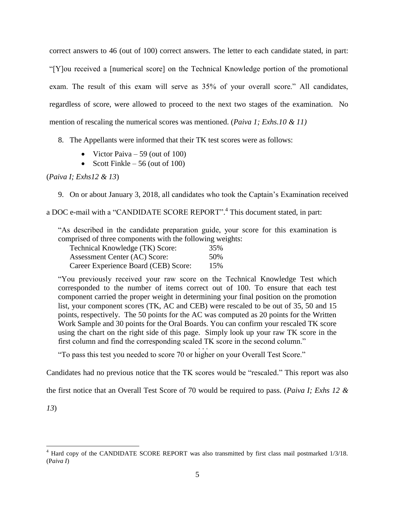correct answers to 46 (out of 100) correct answers. The letter to each candidate stated, in part: "[Y]ou received a [numerical score] on the Technical Knowledge portion of the promotional exam. The result of this exam will serve as 35% of your overall score." All candidates, regardless of score, were allowed to proceed to the next two stages of the examination. No mention of rescaling the numerical scores was mentioned. (*Paiva 1; Exhs.10 & 11)*

## 8. The Appellants were informed that their TK test scores were as follows:

- Victor Paiva  $-59$  (out of 100)
- Scott Finkle 56 (out of 100)

## (*Paiva I; Exhs12 & 13*)

9. On or about January 3, 2018, all candidates who took the Captain's Examination received

a DOC e-mail with a "CANDIDATE SCORE REPORT". 4 This document stated, in part:

"As described in the candidate preparation guide, your score for this examination is comprised of three components with the following weights:

| Technical Knowledge (TK) Score:      | 35% |
|--------------------------------------|-----|
| Assessment Center (AC) Score:        | 50% |
| Career Experience Board (CEB) Score: | 15% |

"You previously received your raw score on the Technical Knowledge Test which corresponded to the number of items correct out of 100. To ensure that each test component carried the proper weight in determining your final position on the promotion list, your component scores (TK, AC and CEB) were rescaled to be out of 35, 50 and 15 points, respectively. The 50 points for the AC was computed as 20 points for the Written Work Sample and 30 points for the Oral Boards. You can confirm your rescaled TK score using the chart on the right side of this page. Simply look up your raw TK score in the first column and find the corresponding scaled TK score in the second column."  $\cdot \cdot \cdot$ 

"To pass this test you needed to score 70 or higher on your Overall Test Score."

Candidates had no previous notice that the TK scores would be "rescaled." This report was also

the first notice that an Overall Test Score of 70 would be required to pass. (*Paiva I; Exhs 12 &* 

*13*)

 $\overline{a}$ 

<sup>4</sup> Hard copy of the CANDIDATE SCORE REPORT was also transmitted by first class mail postmarked 1/3/18. (P*aiva I*)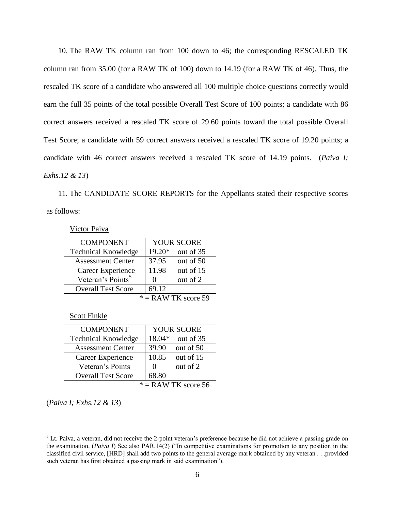10. The RAW TK column ran from 100 down to 46; the corresponding RESCALED TK column ran from 35.00 (for a RAW TK of 100) down to 14.19 (for a RAW TK of 46). Thus, the rescaled TK score of a candidate who answered all 100 multiple choice questions correctly would earn the full 35 points of the total possible Overall Test Score of 100 points; a candidate with 86 correct answers received a rescaled TK score of 29.60 points toward the total possible Overall Test Score; a candidate with 59 correct answers received a rescaled TK score of 19.20 points; a candidate with 46 correct answers received a rescaled TK score of 14.19 points. (*Paiva I; Exhs.12 & 13*)

11. The CANDIDATE SCORE REPORTS for the Appellants stated their respective scores as follows:

Victor Paiva

| <b>COMPONENT</b>              |                  | <b>YOUR SCORE</b> |
|-------------------------------|------------------|-------------------|
| <b>Technical Knowledge</b>    | 19.20*           | out of 35         |
| <b>Assessment Center</b>      | 37.95            | out of 50         |
| Career Experience             | 11.98            | out of 15         |
| Veteran's Points <sup>5</sup> | 0                | out of 2          |
| <b>Overall Test Score</b>     | 69.12            |                   |
| $\mathbf{A}$                  | $\sqrt{1 + \pi}$ |                   |

 $* =$ RAW TK score 59

Scott Finkle

| <b>COMPONENT</b>           | <b>YOUR SCORE</b>             |  |  |
|----------------------------|-------------------------------|--|--|
| <b>Technical Knowledge</b> | 18.04*<br>out of 35           |  |  |
| <b>Assessment Center</b>   | 39.90<br>out of 50            |  |  |
| Career Experience          | 10.85<br>out of 15            |  |  |
| Veteran's Points           | out of 2<br>$\mathbf{\Omega}$ |  |  |
| <b>Overall Test Score</b>  | 68.80                         |  |  |
| $* =$ RAW TK score 56      |                               |  |  |

(*Paiva I; Exhs.12 & 13*)

 $\overline{a}$ 

 $<sup>5</sup>$  Lt. Paiva, a veteran, did not receive the 2-point veteran's preference because he did not achieve a passing grade on</sup> the examination. (*Paiva I*) See also PAR.14(2) ("In competitive examinations for promotion to any position in the classified civil service, [HRD] shall add two points to the general average mark obtained by any veteran . . .provided such veteran has first obtained a passing mark in said examination").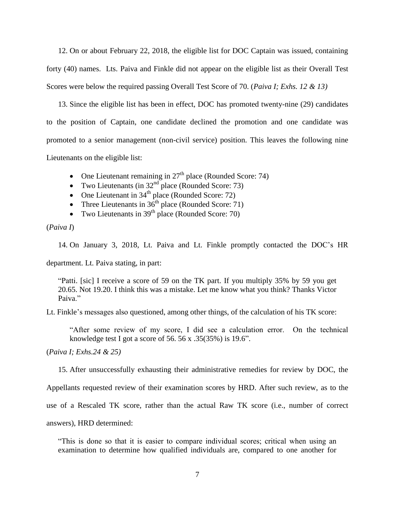12. On or about February 22, 2018, the eligible list for DOC Captain was issued, containing forty (40) names. Lts. Paiva and Finkle did not appear on the eligible list as their Overall Test Scores were below the required passing Overall Test Score of 70. (*Paiva I; Exhs. 12 & 13)*

13. Since the eligible list has been in effect, DOC has promoted twenty-nine (29) candidates to the position of Captain, one candidate declined the promotion and one candidate was promoted to a senior management (non-civil service) position. This leaves the following nine Lieutenants on the eligible list:

- One Lieutenant remaining in  $27<sup>th</sup>$  place (Rounded Score: 74)
- Two Lieutenants (in  $32<sup>nd</sup>$  place (Rounded Score: 73)
- One Lieutenant in  $34<sup>th</sup>$  place (Rounded Score: 72)
- Three Lieutenants in  $36<sup>th</sup>$  place (Rounded Score: 71)
- Two Lieutenants in  $39<sup>th</sup>$  place (Rounded Score: 70)

(*Paiva I*)

14. On January 3, 2018, Lt. Paiva and Lt. Finkle promptly contacted the DOC's HR

department. Lt. Paiva stating, in part:

"Patti. [sic] I receive a score of 59 on the TK part. If you multiply 35% by 59 you get 20.65. Not 19.20. I think this was a mistake. Let me know what you think? Thanks Victor Paiva<sup>"</sup>

Lt. Finkle's messages also questioned, among other things, of the calculation of his TK score:

"After some review of my score, I did see a calculation error. On the technical knowledge test I got a score of 56. 56 x  $.35(35%)$  is 19.6".

(*Paiva I; Exhs.24 & 25)*

15. After unsuccessfully exhausting their administrative remedies for review by DOC, the

Appellants requested review of their examination scores by HRD. After such review, as to the

use of a Rescaled TK score, rather than the actual Raw TK score (i.e., number of correct

answers), HRD determined:

"This is done so that it is easier to compare individual scores; critical when using an examination to determine how qualified individuals are, compared to one another for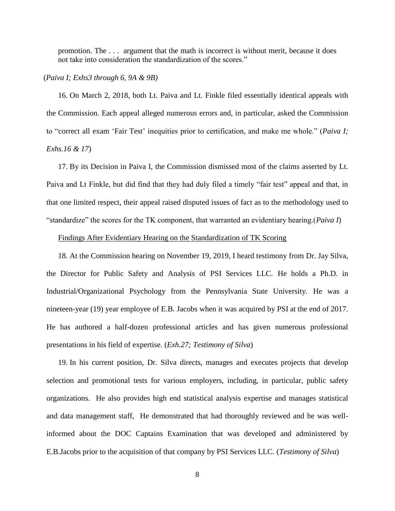promotion. The . . . argument that the math is incorrect is without merit, because it does not take into consideration the standardization of the scores."

#### (*Paiva I; Exhs3 through 6, 9A & 9B)*

16. On March 2, 2018, both Lt. Paiva and Lt. Finkle filed essentially identical appeals with the Commission. Each appeal alleged numerous errors and, in particular, asked the Commission to "correct all exam 'Fair Test' inequities prior to certification, and make me whole." (*Paiva I; Exhs.16 & 17*)

17. By its Decision in Paiva I, the Commission dismissed most of the claims asserted by Lt. Paiva and Lt Finkle, but did find that they had duly filed a timely "fair test" appeal and that, in that one limited respect, their appeal raised disputed issues of fact as to the methodology used to "standardize" the scores for the TK component, that warranted an evidentiary hearing.(*Paiva I*)

## Findings After Evidentiary Hearing on the Standardization of TK Scoring

18. At the Commission hearing on November 19, 2019, I heard testimony from Dr. Jay Silva, the Director for Public Safety and Analysis of PSI Services LLC. He holds a Ph.D. in Industrial/Organizational Psychology from the Pennsylvania State University. He was a nineteen-year (19) year employee of E.B. Jacobs when it was acquired by PSI at the end of 2017. He has authored a half-dozen professional articles and has given numerous professional presentations in his field of expertise. (*Exh.27; Testimony of Silva*)

19. In his current position, Dr. Silva directs, manages and executes projects that develop selection and promotional tests for various employers, including, in particular, public safety organizations. He also provides high end statistical analysis expertise and manages statistical and data management staff, He demonstrated that had thoroughly reviewed and he was wellinformed about the DOC Captains Examination that was developed and administered by E.B.Jacobs prior to the acquisition of that company by PSI Services LLC. (*Testimony of Silva*)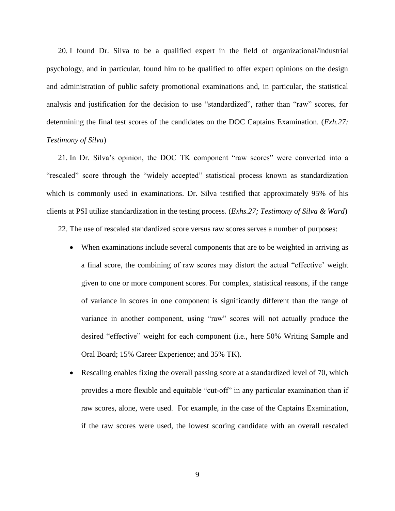20. I found Dr. Silva to be a qualified expert in the field of organizational/industrial psychology, and in particular, found him to be qualified to offer expert opinions on the design and administration of public safety promotional examinations and, in particular, the statistical analysis and justification for the decision to use "standardized", rather than "raw" scores, for determining the final test scores of the candidates on the DOC Captains Examination. (*Exh.27: Testimony of Silva*)

21. In Dr. Silva's opinion, the DOC TK component "raw scores" were converted into a "rescaled" score through the "widely accepted" statistical process known as standardization which is commonly used in examinations. Dr. Silva testified that approximately 95% of his clients at PSI utilize standardization in the testing process. (*Exhs.27; Testimony of Silva & Ward*)

22. The use of rescaled standardized score versus raw scores serves a number of purposes:

- When examinations include several components that are to be weighted in arriving as a final score, the combining of raw scores may distort the actual "effective' weight given to one or more component scores. For complex, statistical reasons, if the range of variance in scores in one component is significantly different than the range of variance in another component, using "raw" scores will not actually produce the desired "effective" weight for each component (i.e., here 50% Writing Sample and Oral Board; 15% Career Experience; and 35% TK).
- Rescaling enables fixing the overall passing score at a standardized level of 70, which provides a more flexible and equitable "cut-off" in any particular examination than if raw scores, alone, were used. For example, in the case of the Captains Examination, if the raw scores were used, the lowest scoring candidate with an overall rescaled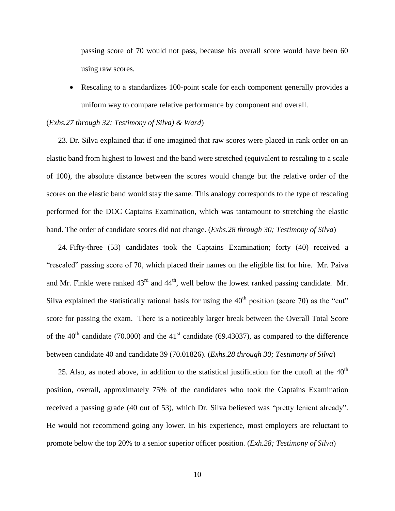passing score of 70 would not pass, because his overall score would have been 60 using raw scores.

 Rescaling to a standardizes 100-point scale for each component generally provides a uniform way to compare relative performance by component and overall.

### (*Exhs.27 through 32; Testimony of Silva) & Ward*)

23. Dr. Silva explained that if one imagined that raw scores were placed in rank order on an elastic band from highest to lowest and the band were stretched (equivalent to rescaling to a scale of 100), the absolute distance between the scores would change but the relative order of the scores on the elastic band would stay the same. This analogy corresponds to the type of rescaling performed for the DOC Captains Examination, which was tantamount to stretching the elastic band. The order of candidate scores did not change. (*Exhs.28 through 30; Testimony of Silva*)

24. Fifty-three (53) candidates took the Captains Examination; forty (40) received a "rescaled" passing score of 70, which placed their names on the eligible list for hire. Mr. Paiva and Mr. Finkle were ranked  $43<sup>rd</sup>$  and  $44<sup>th</sup>$ , well below the lowest ranked passing candidate. Mr. Silva explained the statistically rational basis for using the  $40<sup>th</sup>$  position (score 70) as the "cut" score for passing the exam. There is a noticeably larger break between the Overall Total Score of the  $40^{th}$  candidate (70.000) and the  $41^{st}$  candidate (69.43037), as compared to the difference between candidate 40 and candidate 39 (70.01826). (*Exhs.28 through 30; Testimony of Silva*)

25. Also, as noted above, in addition to the statistical justification for the cutoff at the  $40<sup>th</sup>$ position, overall, approximately 75% of the candidates who took the Captains Examination received a passing grade (40 out of 53), which Dr. Silva believed was "pretty lenient already". He would not recommend going any lower. In his experience, most employers are reluctant to promote below the top 20% to a senior superior officer position. (*Exh.28; Testimony of Silva*)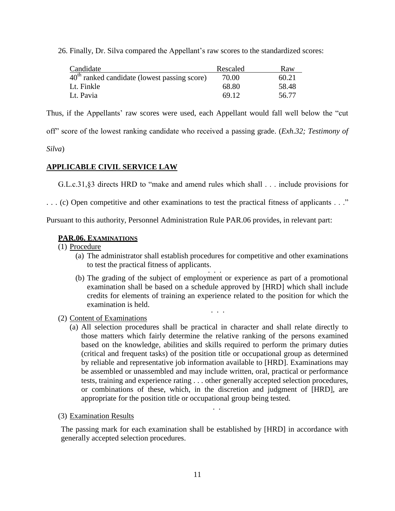26. Finally, Dr. Silva compared the Appellant's raw scores to the standardized scores:

| Candidate                                      | Rescaled | Raw   |
|------------------------------------------------|----------|-------|
| $40th$ ranked candidate (lowest passing score) | 70.00    | 60.21 |
| Lt. Finkle                                     | 68.80    | 58.48 |
| Lt. Pavia                                      | 69.12    | 56.77 |

Thus, if the Appellants' raw scores were used, each Appellant would fall well below the "cut

off" score of the lowest ranking candidate who received a passing grade. (*Exh.32; Testimony of* 

*Silva*)

# **APPLICABLE CIVIL SERVICE LAW**

G.L.c.31,§3 directs HRD to "make and amend rules which shall . . . include provisions for

. . . (c) Open competitive and other examinations to test the practical fitness of applicants . . ."

Pursuant to this authority, Personnel Administration Rule PAR.06 provides, in relevant part:

## **PAR.06. EXAMINATIONS**

(1) Procedure

- (a) The administrator shall establish procedures for competitive and other examinations to test the practical fitness of applicants. ..<br>. . .
- (b) The grading of the subject of employment or experience as part of a promotional examination shall be based on a schedule approved by [HRD] which shall include credits for elements of training an experience related to the position for which the examination is held. . . .
- (2) Content of Examinations
	- (a) All selection procedures shall be practical in character and shall relate directly to those matters which fairly determine the relative ranking of the persons examined based on the knowledge, abilities and skills required to perform the primary duties (critical and frequent tasks) of the position title or occupational group as determined by reliable and representative job information available to [HRD]. Examinations may be assembled or unassembled and may include written, oral, practical or performance tests, training and experience rating . . . other generally accepted selection procedures, or combinations of these, which, in the discretion and judgment of [HRD], are appropriate for the position title or occupational group being tested.

. .

(3) Examination Results

The passing mark for each examination shall be established by [HRD] in accordance with generally accepted selection procedures.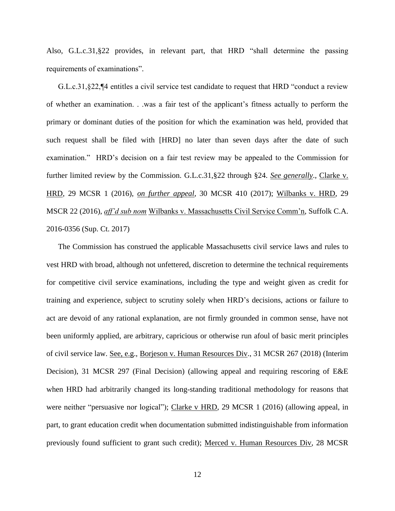Also, G.L.c.31,§22 provides, in relevant part, that HRD "shall determine the passing requirements of examinations".

G.L.c.31,§22,¶4 entitles a civil service test candidate to request that HRD "conduct a review of whether an examination. . .was a fair test of the applicant's fitness actually to perform the primary or dominant duties of the position for which the examination was held, provided that such request shall be filed with [HRD] no later than seven days after the date of such examination." HRD's decision on a fair test review may be appealed to the Commission for further limited review by the Commission. G.L.c.31,§22 through §24. *See generally*., Clarke v. HRD, 29 MCSR 1 (2016), *on further appeal*, 30 MCSR 410 (2017); Wilbanks v. HRD, 29 MSCR 22 (2016), *aff'd sub nom* Wilbanks v. Massachusetts Civil Service Comm'n, Suffolk C.A. 2016-0356 (Sup. Ct. 2017)

The Commission has construed the applicable Massachusetts civil service laws and rules to vest HRD with broad, although not unfettered, discretion to determine the technical requirements for competitive civil service examinations, including the type and weight given as credit for training and experience, subject to scrutiny solely when HRD's decisions, actions or failure to act are devoid of any rational explanation, are not firmly grounded in common sense, have not been uniformly applied, are arbitrary, capricious or otherwise run afoul of basic merit principles of civil service law. See, e.g., Borjeson v. Human Resources Div., 31 MCSR 267 (2018) (Interim Decision), 31 MCSR 297 (Final Decision) (allowing appeal and requiring rescoring of E&E when HRD had arbitrarily changed its long-standing traditional methodology for reasons that were neither "persuasive nor logical"); Clarke v HRD, 29 MCSR 1 (2016) (allowing appeal, in part, to grant education credit when documentation submitted indistinguishable from information previously found sufficient to grant such credit); Merced v. Human Resources Div, 28 MCSR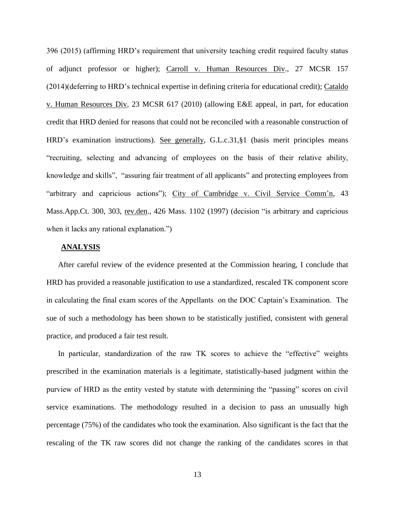396 (2015) (affirming HRD's requirement that university teaching credit required faculty status of adjunct professor or higher); Carroll v. Human Resources Div., 27 MCSR 157 (2014)(deferring to HRD's technical expertise in defining criteria for educational credit); Cataldo v. Human Resources Div, 23 MCSR 617 (2010) (allowing E&E appeal, in part, for education credit that HRD denied for reasons that could not be reconciled with a reasonable construction of HRD's examination instructions). See generally, G.L.c.31,§1 (basis merit principles means "recruiting, selecting and advancing of employees on the basis of their relative ability, knowledge and skills", "assuring fair treatment of all applicants" and protecting employees from "arbitrary and capricious actions"); City of Cambridge v. Civil Service Comm'n, 43 Mass.App.Ct. 300, 303, rev.den., 426 Mass. 1102 (1997) (decision "is arbitrary and capricious when it lacks any rational explanation."

#### **ANALYSIS**

After careful review of the evidence presented at the Commission hearing, I conclude that HRD has provided a reasonable justification to use a standardized, rescaled TK component score in calculating the final exam scores of the Appellants on the DOC Captain's Examination. The sue of such a methodology has been shown to be statistically justified, consistent with general practice, and produced a fair test result.

In particular, standardization of the raw TK scores to achieve the "effective" weights prescribed in the examination materials is a legitimate, statistically-based judgment within the purview of HRD as the entity vested by statute with determining the "passing" scores on civil service examinations. The methodology resulted in a decision to pass an unusually high percentage (75%) of the candidates who took the examination. Also significant is the fact that the rescaling of the TK raw scores did not change the ranking of the candidates scores in that